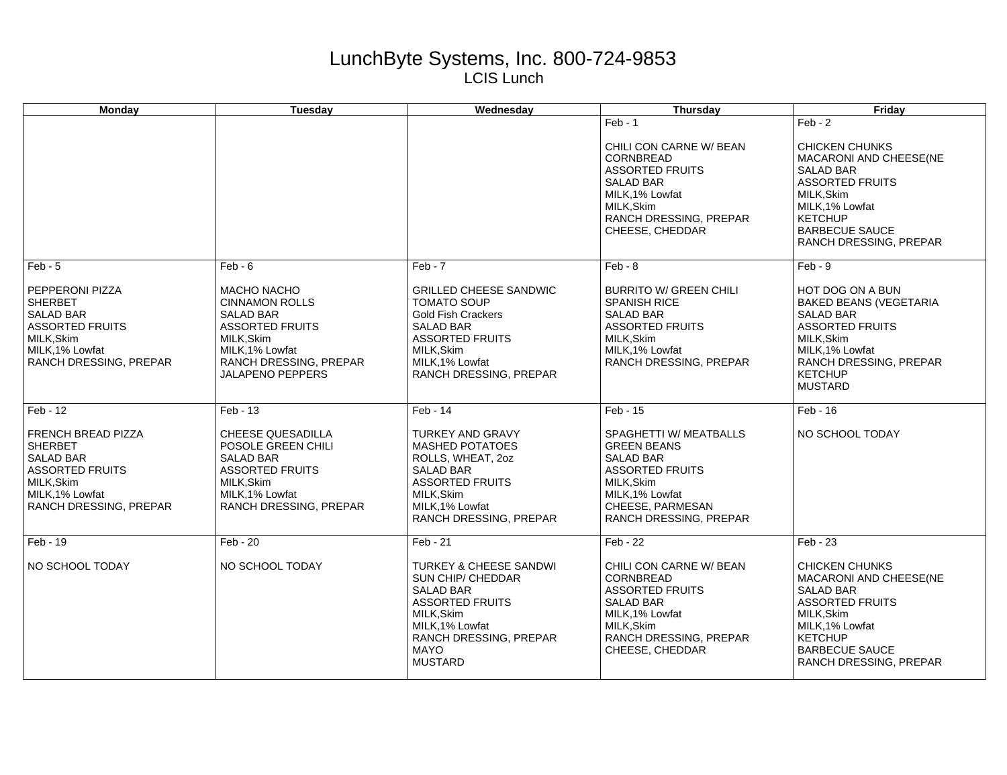## LunchByte Systems, Inc. 800-724-9853 LCIS Lunch

| <b>Monday</b>                                                                                                                                               | <b>Tuesday</b>                                                                                                                                                                               | Wednesday                                                                                                                                                                                                           | <b>Thursday</b>                                                                                                                                                                               | Friday                                                                                                                                                                                                             |
|-------------------------------------------------------------------------------------------------------------------------------------------------------------|----------------------------------------------------------------------------------------------------------------------------------------------------------------------------------------------|---------------------------------------------------------------------------------------------------------------------------------------------------------------------------------------------------------------------|-----------------------------------------------------------------------------------------------------------------------------------------------------------------------------------------------|--------------------------------------------------------------------------------------------------------------------------------------------------------------------------------------------------------------------|
|                                                                                                                                                             |                                                                                                                                                                                              |                                                                                                                                                                                                                     | $Feb - 1$<br>CHILI CON CARNE W/ BEAN<br>CORNBREAD<br><b>ASSORTED FRUITS</b><br><b>SALAD BAR</b><br>MILK, 1% Lowfat<br>MILK, Skim<br>RANCH DRESSING, PREPAR<br>CHEESE, CHEDDAR                 | $Feb - 2$<br><b>CHICKEN CHUNKS</b><br>MACARONI AND CHEESE(NE<br><b>SALAD BAR</b><br><b>ASSORTED FRUITS</b><br>MILK, Skim<br>MILK, 1% Lowfat<br><b>KETCHUP</b><br><b>BARBECUE SAUCE</b><br>RANCH DRESSING, PREPAR   |
| $Feb - 5$<br>PEPPERONI PIZZA<br><b>SHERBET</b><br><b>SALAD BAR</b><br><b>ASSORTED FRUITS</b><br>MILK, Skim<br>MILK, 1% Lowfat<br>RANCH DRESSING, PREPAR     | $Feb - 6$<br><b>MACHO NACHO</b><br><b>CINNAMON ROLLS</b><br><b>SALAD BAR</b><br><b>ASSORTED FRUITS</b><br>MILK, Skim<br>MILK, 1% Lowfat<br>RANCH DRESSING, PREPAR<br><b>JALAPENO PEPPERS</b> | $Feb - 7$<br><b>GRILLED CHEESE SANDWIC</b><br><b>TOMATO SOUP</b><br><b>Gold Fish Crackers</b><br><b>SALAD BAR</b><br><b>ASSORTED FRUITS</b><br>MILK, Skim<br>MILK.1% Lowfat<br><b>RANCH DRESSING, PREPAR</b>        | $Feb - 8$<br><b>BURRITO W/ GREEN CHILI</b><br><b>SPANISH RICE</b><br><b>SALAD BAR</b><br><b>ASSORTED FRUITS</b><br>MILK, Skim<br>MILK.1% Lowfat<br><b>RANCH DRESSING, PREPAR</b>              | $Feb - 9$<br><b>HOT DOG ON A BUN</b><br><b>BAKED BEANS (VEGETARIA</b><br><b>SALAD BAR</b><br><b>ASSORTED FRUITS</b><br>MILK, Skim<br>MILK, 1% Lowfat<br>RANCH DRESSING, PREPAR<br><b>KETCHUP</b><br><b>MUSTARD</b> |
| $Feb - 12$<br>FRENCH BREAD PIZZA<br><b>SHERBET</b><br><b>SALAD BAR</b><br><b>ASSORTED FRUITS</b><br>MILK, Skim<br>MILK, 1% Lowfat<br>RANCH DRESSING, PREPAR | $Feb - 13$<br>CHEESE QUESADILLA<br>POSOLE GREEN CHILI<br><b>SALAD BAR</b><br><b>ASSORTED FRUITS</b><br>MILK, Skim<br>MILK, 1% Lowfat<br>RANCH DRESSING, PREPAR                               | $Feb - 14$<br><b>TURKEY AND GRAVY</b><br><b>MASHED POTATOES</b><br>ROLLS, WHEAT, 2oz<br><b>SALAD BAR</b><br><b>ASSORTED FRUITS</b><br>MILK.Skim<br>MILK, 1% Lowfat<br><b>RANCH DRESSING, PREPAR</b>                 | $Feb - 15$<br>SPAGHETTI W/ MEATBALLS<br><b>GREEN BEANS</b><br><b>SALAD BAR</b><br><b>ASSORTED FRUITS</b><br>MILK, Skim<br>MILK.1% Lowfat<br>CHEESE, PARMESAN<br><b>RANCH DRESSING, PREPAR</b> | $Feb - 16$<br>NO SCHOOL TODAY                                                                                                                                                                                      |
| Feb - 19<br>NO SCHOOL TODAY                                                                                                                                 | $Feb - 20$<br>NO SCHOOL TODAY                                                                                                                                                                | Feb - 21<br><b>TURKEY &amp; CHEESE SANDWI</b><br><b>SUN CHIP/ CHEDDAR</b><br><b>SALAD BAR</b><br><b>ASSORTED FRUITS</b><br>MILK, Skim<br>MILK, 1% Lowfat<br>RANCH DRESSING, PREPAR<br><b>MAYO</b><br><b>MUSTARD</b> | $Feb - 22$<br>CHILI CON CARNE W/ BEAN<br>CORNBREAD<br><b>ASSORTED FRUITS</b><br><b>SALAD BAR</b><br>MILK, 1% Lowfat<br>MILK.Skim<br>RANCH DRESSING, PREPAR<br>CHEESE, CHEDDAR                 | $Feb - 23$<br><b>CHICKEN CHUNKS</b><br>MACARONI AND CHEESE(NE<br><b>SALAD BAR</b><br><b>ASSORTED FRUITS</b><br>MILK, Skim<br>MILK, 1% Lowfat<br><b>KETCHUP</b><br><b>BARBECUE SAUCE</b><br>RANCH DRESSING, PREPAR  |